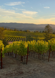